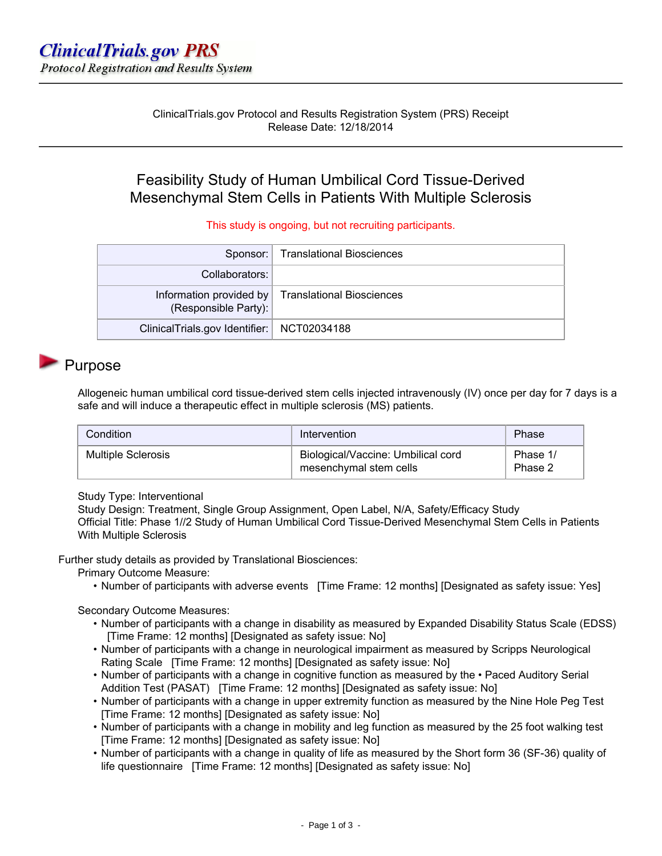ClinicalTrials.gov Protocol and Results Registration System (PRS) Receipt Release Date: 12/18/2014

## Feasibility Study of Human Umbilical Cord Tissue-Derived Mesenchymal Stem Cells in Patients With Multiple Sclerosis

This study is ongoing, but not recruiting participants.

|                                              | Sponsor:   Translational Biosciences              |
|----------------------------------------------|---------------------------------------------------|
| Collaborators:                               |                                                   |
| (Responsible Party):                         | Information provided by Translational Biosciences |
| ClinicalTrials.gov Identifier:   NCT02034188 |                                                   |

## Purpose

Allogeneic human umbilical cord tissue-derived stem cells injected intravenously (IV) once per day for 7 days is a safe and will induce a therapeutic effect in multiple sclerosis (MS) patients.

| Condition                 | Intervention                                                 | Phase               |
|---------------------------|--------------------------------------------------------------|---------------------|
| <b>Multiple Sclerosis</b> | Biological/Vaccine: Umbilical cord<br>mesenchymal stem cells | Phase 1/<br>Phase 2 |

Study Type: Interventional

Study Design: Treatment, Single Group Assignment, Open Label, N/A, Safety/Efficacy Study Official Title: Phase 1//2 Study of Human Umbilical Cord Tissue-Derived Mesenchymal Stem Cells in Patients With Multiple Sclerosis

Further study details as provided by Translational Biosciences:

Primary Outcome Measure:

• Number of participants with adverse events [Time Frame: 12 months] [Designated as safety issue: Yes]

Secondary Outcome Measures:

- Number of participants with a change in disability as measured by Expanded Disability Status Scale (EDSS) [Time Frame: 12 months] [Designated as safety issue: No]
- Number of participants with a change in neurological impairment as measured by Scripps Neurological Rating Scale [Time Frame: 12 months] [Designated as safety issue: No]
- Number of participants with a change in cognitive function as measured by the Paced Auditory Serial Addition Test (PASAT) [Time Frame: 12 months] [Designated as safety issue: No]
- Number of participants with a change in upper extremity function as measured by the Nine Hole Peg Test [Time Frame: 12 months] [Designated as safety issue: No]
- Number of participants with a change in mobility and leg function as measured by the 25 foot walking test [Time Frame: 12 months] [Designated as safety issue: No]
- Number of participants with a change in quality of life as measured by the Short form 36 (SF-36) quality of life questionnaire [Time Frame: 12 months] [Designated as safety issue: No]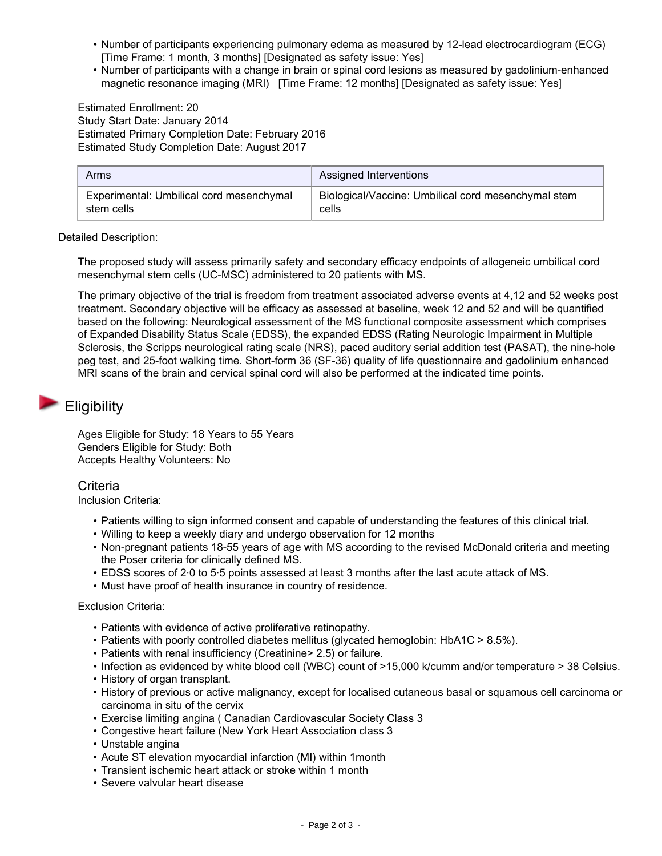- Number of participants experiencing pulmonary edema as measured by 12-lead electrocardiogram (ECG) [Time Frame: 1 month, 3 months] [Designated as safety issue: Yes]
- Number of participants with a change in brain or spinal cord lesions as measured by gadolinium-enhanced magnetic resonance imaging (MRI) [Time Frame: 12 months] [Designated as safety issue: Yes]

Estimated Enrollment: 20 Study Start Date: January 2014 Estimated Primary Completion Date: February 2016 Estimated Study Completion Date: August 2017

| Arms                                     | Assigned Interventions                              |
|------------------------------------------|-----------------------------------------------------|
| Experimental: Umbilical cord mesenchymal | Biological/Vaccine: Umbilical cord mesenchymal stem |
| stem cells                               | cells                                               |

### Detailed Description:

The proposed study will assess primarily safety and secondary efficacy endpoints of allogeneic umbilical cord mesenchymal stem cells (UC-MSC) administered to 20 patients with MS.

The primary objective of the trial is freedom from treatment associated adverse events at 4,12 and 52 weeks post treatment. Secondary objective will be efficacy as assessed at baseline, week 12 and 52 and will be quantified based on the following: Neurological assessment of the MS functional composite assessment which comprises of Expanded Disability Status Scale (EDSS), the expanded EDSS (Rating Neurologic Impairment in Multiple Sclerosis, the Scripps neurological rating scale (NRS), paced auditory serial addition test (PASAT), the nine-hole peg test, and 25-foot walking time. Short-form 36 (SF-36) quality of life questionnaire and gadolinium enhanced MRI scans of the brain and cervical spinal cord will also be performed at the indicated time points.

## **Eligibility**

Ages Eligible for Study: 18 Years to 55 Years Genders Eligible for Study: Both Accepts Healthy Volunteers: No

### **Criteria**

Inclusion Criteria:

- Patients willing to sign informed consent and capable of understanding the features of this clinical trial.
- Willing to keep a weekly diary and undergo observation for 12 months
- Non-pregnant patients 18-55 years of age with MS according to the revised McDonald criteria and meeting the Poser criteria for clinically defined MS.
- EDSS scores of 2·0 to 5·5 points assessed at least 3 months after the last acute attack of MS.
- Must have proof of health insurance in country of residence.

### Exclusion Criteria:

- Patients with evidence of active proliferative retinopathy.
- Patients with poorly controlled diabetes mellitus (glycated hemoglobin: HbA1C > 8.5%).
- Patients with renal insufficiency (Creatinine> 2.5) or failure.
- Infection as evidenced by white blood cell (WBC) count of >15,000 k/cumm and/or temperature > 38 Celsius.
- History of organ transplant.
- History of previous or active malignancy, except for localised cutaneous basal or squamous cell carcinoma or carcinoma in situ of the cervix
- Exercise limiting angina ( Canadian Cardiovascular Society Class 3
- Congestive heart failure (New York Heart Association class 3
- Unstable angina
- Acute ST elevation myocardial infarction (MI) within 1month
- Transient ischemic heart attack or stroke within 1 month
- Severe valvular heart disease